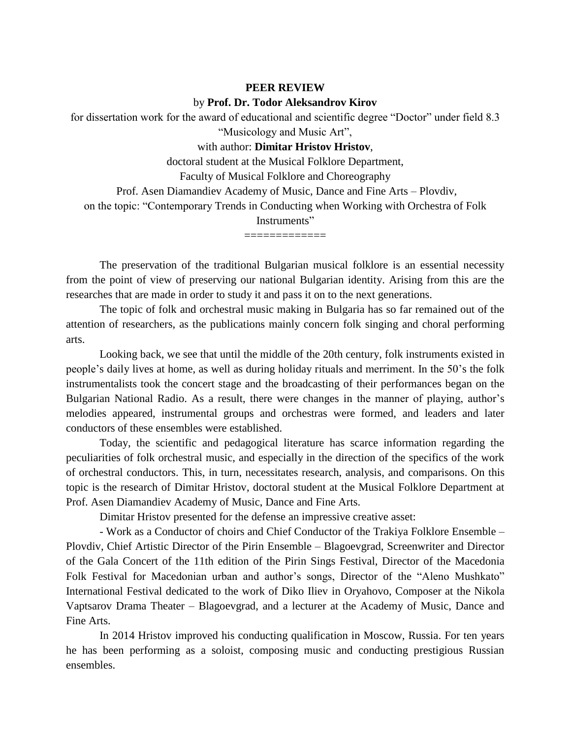## **PEER REVIEW** by **Prof. Dr. Todor Aleksandrov Kirov**

for dissertation work for the award of educational and scientific degree "Doctor" under field 8.3 "Musicology and Music Art",

with author: **Dimitar Hristov Hristov**,

doctoral student at the Musical Folklore Department,

Faculty of Musical Folklore and Choreography

Prof. Asen Diamandiev Academy of Music, Dance and Fine Arts – Plovdiv,

on the topic: "Contemporary Trends in Conducting when Working with Orchestra of Folk Instruments"

=============

The preservation of the traditional Bulgarian musical folklore is an essential necessity from the point of view of preserving our national Bulgarian identity. Arising from this are the researches that are made in order to study it and pass it on to the next generations.

The topic of folk and orchestral music making in Bulgaria has so far remained out of the attention of researchers, as the publications mainly concern folk singing and choral performing arts.

Looking back, we see that until the middle of the 20th century, folk instruments existed in people's daily lives at home, as well as during holiday rituals and merriment. In the 50's the folk instrumentalists took the concert stage and the broadcasting of their performances began on the Bulgarian National Radio. As a result, there were changes in the manner of playing, author's melodies appeared, instrumental groups and orchestras were formed, and leaders and later conductors of these ensembles were established.

Today, the scientific and pedagogical literature has scarce information regarding the peculiarities of folk orchestral music, and especially in the direction of the specifics of the work of orchestral conductors. This, in turn, necessitates research, analysis, and comparisons. On this topic is the research of Dimitar Hristov, doctoral student at the Musical Folklore Department at Prof. Asen Diamandiev Academy of Music, Dance and Fine Arts.

Dimitar Hristov presented for the defense an impressive creative asset:

- Work as a Conductor of choirs and Chief Conductor of the Trakiya Folklore Ensemble – Plovdiv, Chief Artistic Director of the Pirin Ensemble – Blagoevgrad, Screenwriter and Director of the Gala Concert of the 11th edition of the Pirin Sings Festival, Director of the Macedonia Folk Festival for Macedonian urban and author's songs, Director of the "Aleno Mushkato" International Festival dedicated to the work of Diko Iliev in Oryahovo, Composer at the Nikola Vaptsarov Drama Theater – Blagoevgrad, and a lecturer at the Academy of Music, Dance and Fine Arts.

In 2014 Hristov improved his conducting qualification in Moscow, Russia. For ten years he has been performing as a soloist, composing music and conducting prestigious Russian ensembles.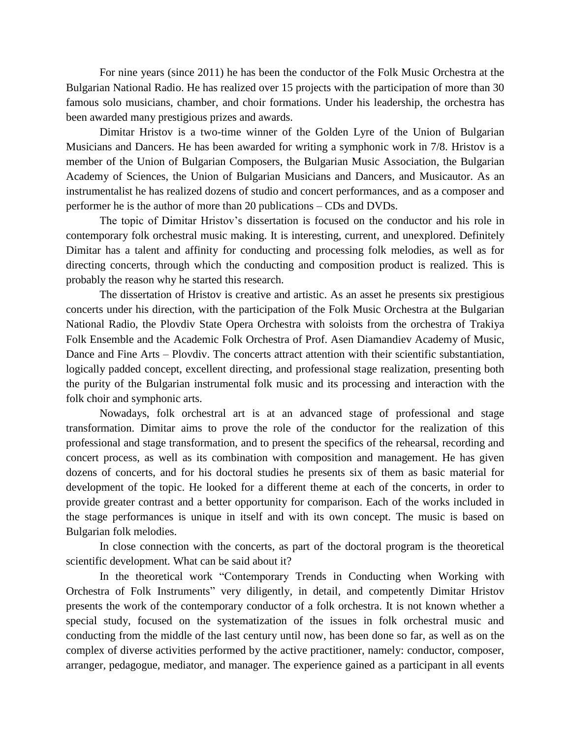For nine years (since 2011) he has been the conductor of the Folk Music Orchestra at the Bulgarian National Radio. He has realized over 15 projects with the participation of more than 30 famous solo musicians, chamber, and choir formations. Under his leadership, the orchestra has been awarded many prestigious prizes and awards.

Dimitar Hristov is a two-time winner of the Golden Lyre of the Union of Bulgarian Musicians and Dancers. He has been awarded for writing a symphonic work in 7/8. Hristov is a member of the Union of Bulgarian Composers, the Bulgarian Music Association, the Bulgarian Academy of Sciences, the Union of Bulgarian Musicians and Dancers, and Musicautor. As an instrumentalist he has realized dozens of studio and concert performances, and as a composer and performer he is the author of more than 20 publications – CDs and DVDs.

The topic of Dimitar Hristov's dissertation is focused on the conductor and his role in contemporary folk orchestral music making. It is interesting, current, and unexplored. Definitely Dimitar has a talent and affinity for conducting and processing folk melodies, as well as for directing concerts, through which the conducting and composition product is realized. This is probably the reason why he started this research.

The dissertation of Hristov is creative and artistic. As an asset he presents six prestigious concerts under his direction, with the participation of the Folk Music Orchestra at the Bulgarian National Radio, the Plovdiv State Opera Orchestra with soloists from the orchestra of Trakiya Folk Ensemble and the Academic Folk Orchestra of Prof. Asen Diamandiev Academy of Music, Dance and Fine Arts – Plovdiv. The concerts attract attention with their scientific substantiation, logically padded concept, excellent directing, and professional stage realization, presenting both the purity of the Bulgarian instrumental folk music and its processing and interaction with the folk choir and symphonic arts.

Nowadays, folk orchestral art is at an advanced stage of professional and stage transformation. Dimitar aims to prove the role of the conductor for the realization of this professional and stage transformation, and to present the specifics of the rehearsal, recording and concert process, as well as its combination with composition and management. He has given dozens of concerts, and for his doctoral studies he presents six of them as basic material for development of the topic. He looked for a different theme at each of the concerts, in order to provide greater contrast and a better opportunity for comparison. Each of the works included in the stage performances is unique in itself and with its own concept. The music is based on Bulgarian folk melodies.

In close connection with the concerts, as part of the doctoral program is the theoretical scientific development. What can be said about it?

In the theoretical work "Contemporary Trends in Conducting when Working with Orchestra of Folk Instruments" very diligently, in detail, and competently Dimitar Hristov presents the work of the contemporary conductor of a folk orchestra. It is not known whether a special study, focused on the systematization of the issues in folk orchestral music and conducting from the middle of the last century until now, has been done so far, as well as on the complex of diverse activities performed by the active practitioner, namely: conductor, composer, arranger, pedagogue, mediator, and manager. The experience gained as a participant in all events